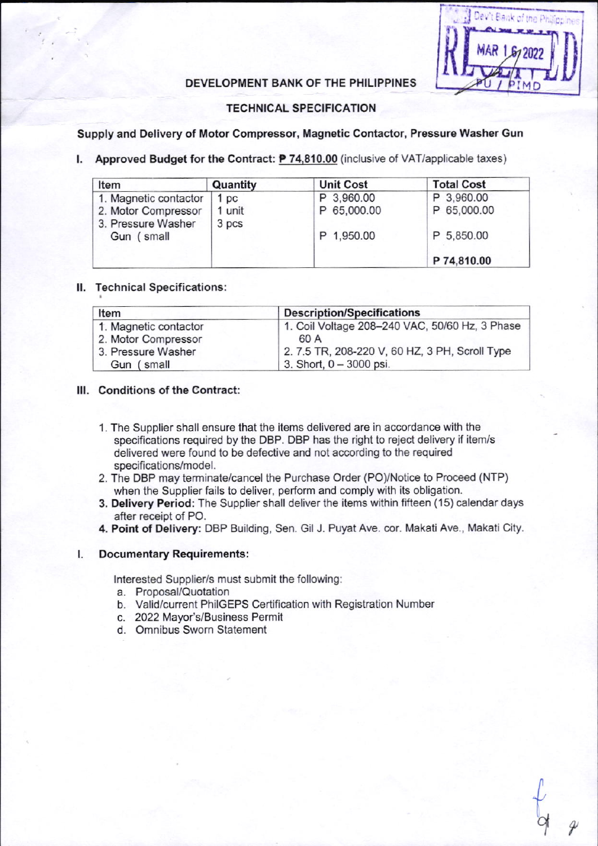

# DEVELOPMENT BANK OF THE PHILIPPINES

## **TECHNICAL SPECIFICATION**

## Supply and Delivery of Motor Compressor, Magnetic Contactor, Pressure Washer Gun

## I. Approved Budget for the Contract:  $P$  74,810.00 (inclusive of VAT/applicable taxes)

| Item                  | Quantity | <b>Unit Cost</b> | <b>Total Cost</b> |  |
|-----------------------|----------|------------------|-------------------|--|
| 1. Magnetic contactor | 1 pc     | P 3,960.00       | P 3,960.00        |  |
| 2. Motor Compressor   | 1 unit   | P 65,000.00      | P 65,000.00       |  |
| 3. Pressure Washer    | 3 pcs    |                  |                   |  |
| Gun (small            |          | P 1,950.00       | P 5,850.00        |  |
|                       |          |                  | P 74,810.00       |  |

#### II. Technical Specifications:

| Item                  | <b>Description/Specifications</b>              |  |  |
|-----------------------|------------------------------------------------|--|--|
| 1. Magnetic contactor | 1. Coil Voltage 208-240 VAC, 50/60 Hz, 3 Phase |  |  |
| 2. Motor Compressor   | 60 A                                           |  |  |
| 3. Pressure Washer    | 2. 7.5 TR, 208-220 V, 60 HZ, 3 PH, Scroll Type |  |  |
| Gun (small            | 3. Short, $0 - 3000$ psi.                      |  |  |

#### III. Conditions of the Contract:

- 1. The Supplier shall ensure that the items delivered are in accordance with the specifications required by the DBP. DBP has the right to reject delivery if item/s delivered were found to be defective and not according to the required specifications/model.
- 2. The DBP may terminate/cancel the Purchase Order (PO)/Notice to Proceed (NTP) when the Supplier fails to deliver, perform and comply with its obligation.
- 3. Delivery Period: The Supplier shall deliver the items within fifteen (15) calendar days after receipt of PO.
- 4. Point of Delivery: DBP Building, Sen. Gil J. Puyat Ave. cor. Makati Ave., Makati City.

#### **Documentary Requirements:**  $\mathbf{L}$

Interested Supplier/s must submit the following:

- a. Proposal/Quotation
- b. Valid/current PhilGEPS Certification with Registration Number
- c. 2022 Mayor's/Business Permit
- d. Omnibus Sworn Statement